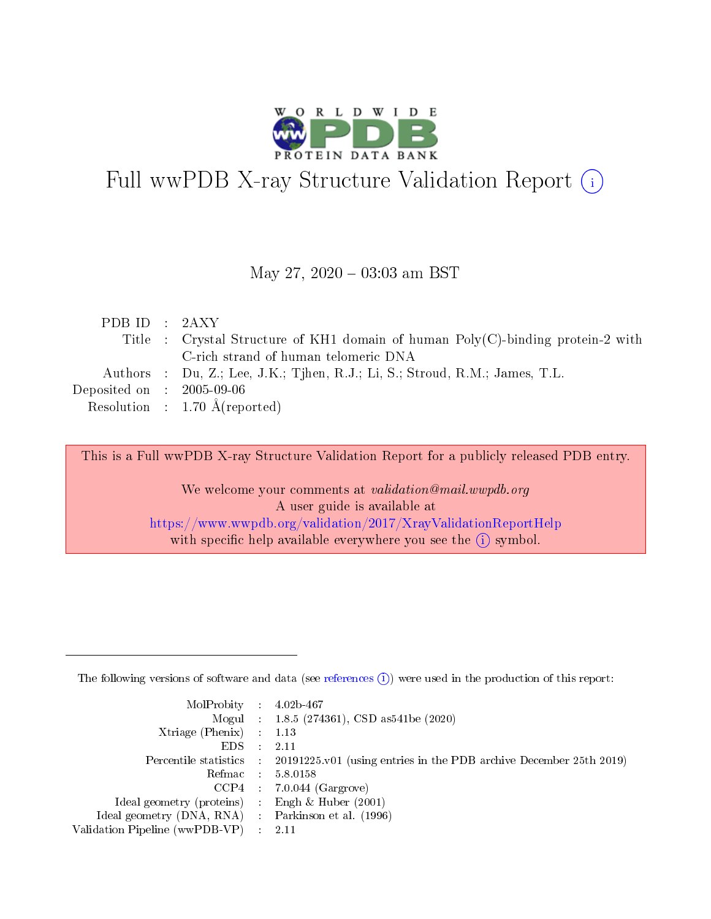

## Full wwPDB X-ray Structure Validation Report (i)

#### May 27,  $2020 - 03:03$  am BST

| PDB ID : 2AXY                                             |                                                                                    |
|-----------------------------------------------------------|------------------------------------------------------------------------------------|
|                                                           | Title : Crystal Structure of KH1 domain of human $Poly(C)$ -binding protein-2 with |
|                                                           | C-rich strand of human telomeric DNA                                               |
|                                                           | Authors : Du, Z.; Lee, J.K.; Tjhen, R.J.; Li, S.; Stroud, R.M.; James, T.L.        |
| $\rm Deposited\; on \;\; : \;\; 2005\text{-}09\text{-}06$ |                                                                                    |
|                                                           | Resolution : $1.70 \text{ Å}$ (reported)                                           |

This is a Full wwPDB X-ray Structure Validation Report for a publicly released PDB entry.

We welcome your comments at validation@mail.wwpdb.org A user guide is available at <https://www.wwpdb.org/validation/2017/XrayValidationReportHelp> with specific help available everywhere you see the  $(i)$  symbol.

The following versions of software and data (see [references](https://www.wwpdb.org/validation/2017/XrayValidationReportHelp#references)  $(1)$ ) were used in the production of this report:

| $MolProbability$ : 4.02b-467                      |                              |                                                                                            |
|---------------------------------------------------|------------------------------|--------------------------------------------------------------------------------------------|
|                                                   |                              | Mogul : 1.8.5 (274361), CSD as 541be (2020)                                                |
| Xtriage (Phenix) $: 1.13$                         |                              |                                                                                            |
| EDS –                                             | $\sim$                       | -2.11                                                                                      |
|                                                   |                              | Percentile statistics : 20191225.v01 (using entries in the PDB archive December 25th 2019) |
| Refmac : 5.8.0158                                 |                              |                                                                                            |
| CCP4                                              |                              | $7.0.044$ (Gargrove)                                                                       |
| Ideal geometry (proteins)                         | $\mathcal{L}_{\mathrm{eff}}$ | Engh & Huber $(2001)$                                                                      |
| Ideal geometry (DNA, RNA) Parkinson et al. (1996) |                              |                                                                                            |
| Validation Pipeline (wwPDB-VP) : 2.11             |                              |                                                                                            |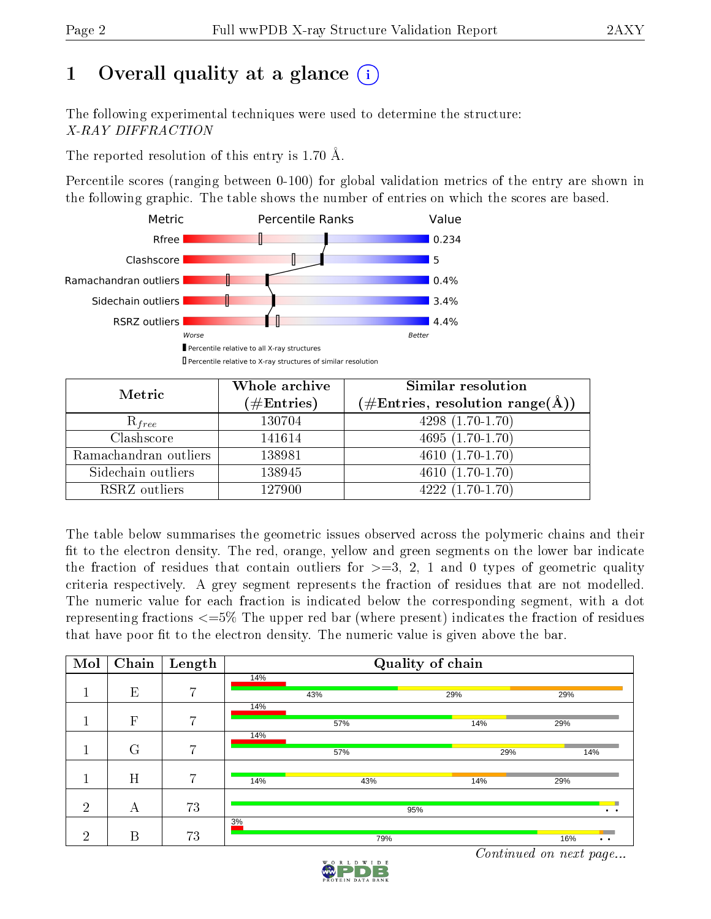## 1 [O](https://www.wwpdb.org/validation/2017/XrayValidationReportHelp#overall_quality)verall quality at a glance  $(i)$

The following experimental techniques were used to determine the structure: X-RAY DIFFRACTION

The reported resolution of this entry is 1.70 Å.

Percentile scores (ranging between 0-100) for global validation metrics of the entry are shown in the following graphic. The table shows the number of entries on which the scores are based.



| Metric                | Whole archive<br>$(\#\text{Entries})$ | Similar resolution<br>$(\#\text{Entries}, \text{resolution range}(\text{\AA}))$ |
|-----------------------|---------------------------------------|---------------------------------------------------------------------------------|
| $R_{free}$            | 130704                                | $4298(1.70-1.70)$                                                               |
| Clashscore            | 141614                                | $4695(1.70-1.70)$                                                               |
| Ramachandran outliers | 138981                                | $\overline{4610}$ $(1.70-1.70)$                                                 |
| Sidechain outliers    | 138945                                | $4610(1.70-1.70)$                                                               |
| RSRZ outliers         | 127900                                | $4222(1.70-1.70)$                                                               |

The table below summarises the geometric issues observed across the polymeric chains and their fit to the electron density. The red, orange, yellow and green segments on the lower bar indicate the fraction of residues that contain outliers for  $>=3, 2, 1$  and 0 types of geometric quality criteria respectively. A grey segment represents the fraction of residues that are not modelled. The numeric value for each fraction is indicated below the corresponding segment, with a dot representing fractions  $\epsilon=5\%$  The upper red bar (where present) indicates the fraction of residues that have poor fit to the electron density. The numeric value is given above the bar.

| Mol            | $\overline{\text{Chain}}$ | Length         | Quality of chain |     |     |     |                 |
|----------------|---------------------------|----------------|------------------|-----|-----|-----|-----------------|
|                | E                         | $\overline{7}$ | 14%              | 43% | 29% | 29% |                 |
|                | $\overline{F}$            | $\overline{7}$ | 14%              | 57% | 14% | 29% |                 |
|                | G                         | 7              | 14%              | 57% |     | 29% | 14%             |
|                | H                         | $\overline{7}$ | 14%              | 43% | 14% | 29% |                 |
| $\overline{2}$ | А                         | 73             |                  |     | 95% |     | $\cdot$ $\cdot$ |
| $\overline{2}$ | B                         | 73             | 3%               | 79% |     | 16% | $\bullet$       |

Continued on next page...

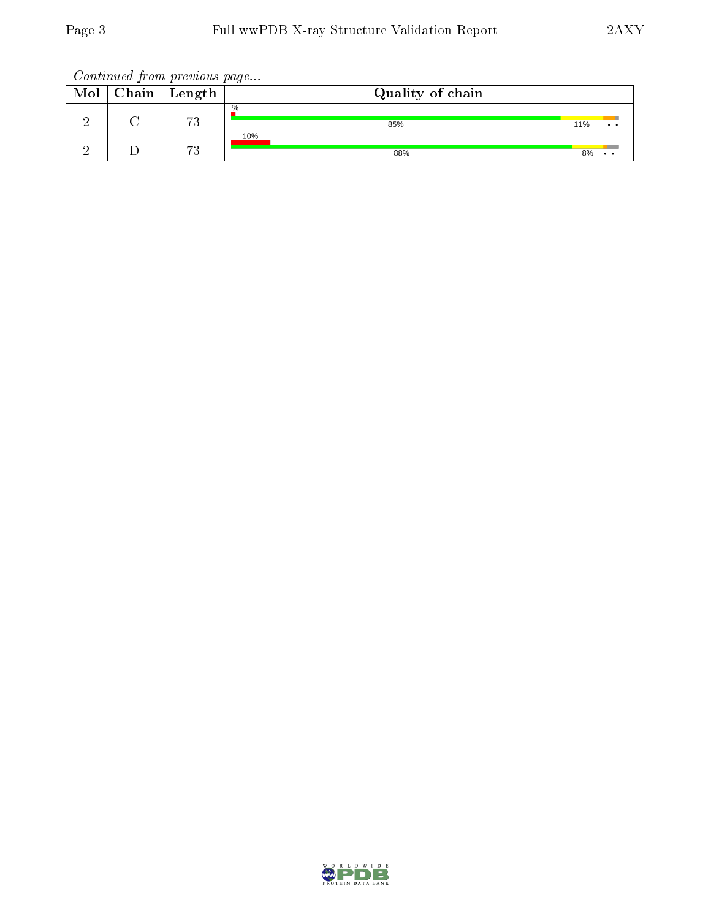Continued from previous page...

| Mol | $\Box$ Chain   Length | Quality of chain |     |                     |
|-----|-----------------------|------------------|-----|---------------------|
|     | mη<br>ιU              | $\%$<br>85%      | 11% | $\bullet$ $\bullet$ |
|     | 70<br>ιJ              | 10%<br>88%       | 8%  | . .                 |

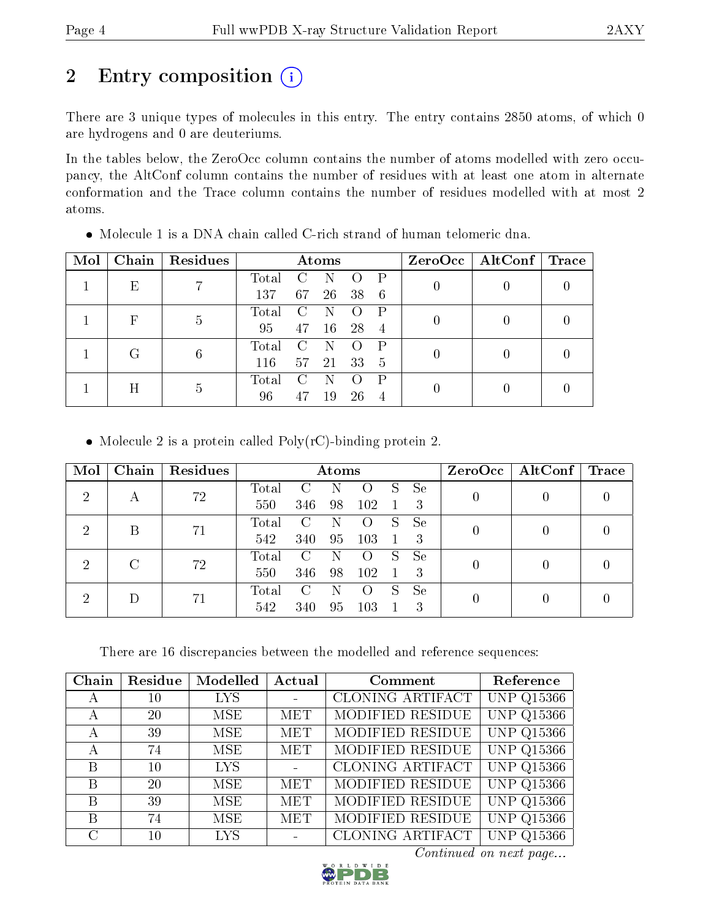## 2 Entry composition (i)

There are 3 unique types of molecules in this entry. The entry contains 2850 atoms, of which 0 are hydrogens and 0 are deuteriums.

In the tables below, the ZeroOcc column contains the number of atoms modelled with zero occupancy, the AltConf column contains the number of residues with at least one atom in alternate conformation and the Trace column contains the number of residues modelled with at most 2 atoms.

| Mol | Chain | Residues        | Atoms          |             |             | ZeroOcc   AltConf   Trace |                |   |  |  |
|-----|-------|-----------------|----------------|-------------|-------------|---------------------------|----------------|---|--|--|
|     | E     |                 | Total          |             |             |                           | D              |   |  |  |
|     |       |                 | 137            | 67          | 26          | 38                        | 6              |   |  |  |
|     |       | F               | 5              | $\rm Total$ | $\mathbf C$ |                           |                | P |  |  |
|     |       |                 | 95             | 47          | 16          | 28                        | $\overline{4}$ |   |  |  |
|     |       |                 | $\rm Total$    |             |             |                           | P              |   |  |  |
|     |       | $6\phantom{.}6$ | 116            | 57          | 21          | 33                        | 5              |   |  |  |
|     |       |                 | $\text{Total}$ |             |             |                           | P              |   |  |  |
| H   | 5     | 96              |                | 19          | 26          | 4                         |                |   |  |  |

Molecule 1 is a DNA chain called C-rich strand of human telomeric dna.

• Molecule 2 is a protein called  $Poly(rC)$ -binding protein 2.

| Mol            | Chain | Residues |       | Atoms |     |                    |   |           |  | $ZeroOcc \mid AltConf \mid$ | $\operatorname{Trace}$ |  |
|----------------|-------|----------|-------|-------|-----|--------------------|---|-----------|--|-----------------------------|------------------------|--|
| $\overline{2}$ |       | 72       | Total |       |     |                    | S | <b>Se</b> |  |                             |                        |  |
|                | А     |          | 550   | 346   | 98  | 102                |   | 3         |  |                             |                        |  |
| $\overline{2}$ | В     | 71       | Total | C     |     |                    | S | Se        |  |                             |                        |  |
|                |       |          | 542   | 340   | 95  | 103                |   | 3         |  |                             |                        |  |
| $\overline{2}$ |       |          | Total | C     |     | $\left( \ \right)$ | S | Se        |  |                             |                        |  |
|                |       | 72       | 550   | 346   | 98  | 102                |   | 3         |  |                             |                        |  |
|                |       |          | Total |       |     | $\left( \ \right)$ | S | <b>Se</b> |  |                             |                        |  |
| $\overline{2}$ | 71    | 542      | 340   | 95    | 103 |                    | 3 |           |  |                             |                        |  |

There are 16 discrepancies between the modelled and reference sequences:

| Chain         | Residue | Modelled   | Actual     | Comment                 | Reference                   |
|---------------|---------|------------|------------|-------------------------|-----------------------------|
| $\mathbf{A}$  | 10      | <b>LYS</b> |            | <b>CLONING ARTIFACT</b> | <b>UNP Q15366</b>           |
| А             | 20      | MSE        | MET        | MODIFIED RESIDUE        | <b>UNP Q15366</b>           |
| А             | 39      | <b>MSE</b> | <b>MET</b> | MODIFIED RESIDUE        | <b>UNP Q15366</b>           |
| А             | 74      | MSE.       | <b>MET</b> | MODIFIED RESIDUE        | <b>UNP Q15366</b>           |
| B             | 10      | <b>LYS</b> |            | CLONING ARTIFACT        | <b>UNP Q15366</b>           |
| B             | 20      | <b>MSE</b> | MET        | MODIFIED RESIDUE        | <b>UNP Q15366</b>           |
| B             | 39      | MSE        | <b>MET</b> | MODIFIED RESIDUE        | <b>UNP Q15366</b>           |
| B             | 74      | MSE        | <b>MET</b> | MODIFIED RESIDUE        | <b>UNP Q15366</b>           |
| $\mathcal{C}$ | 10      | <b>LYS</b> |            | <b>CLONING ARTIFACT</b> | $\overline{Q}$ 15366<br>UNP |

Continued on next page...

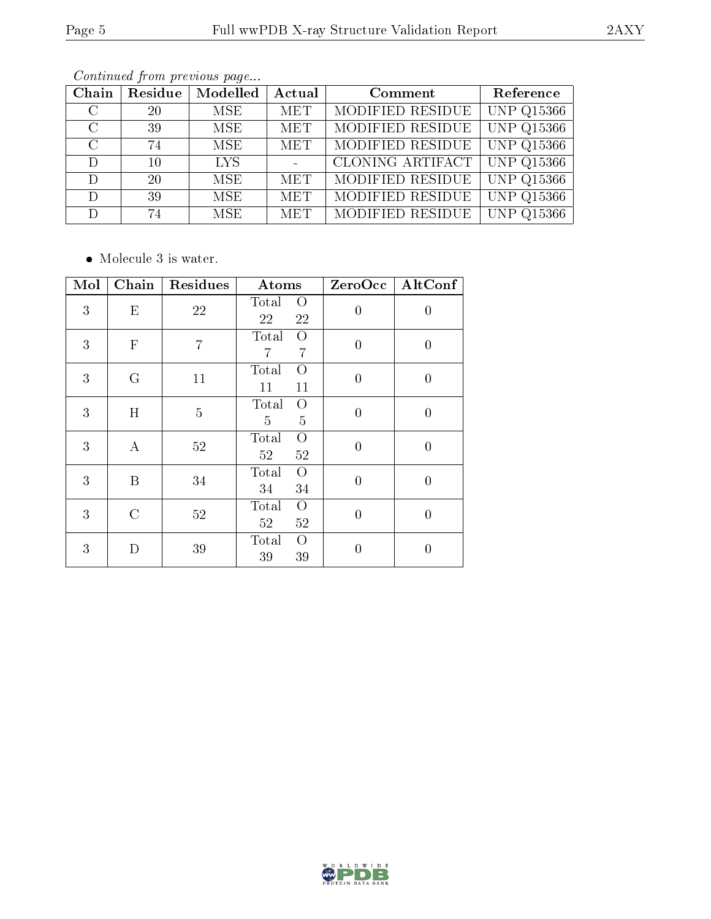| Chain         | Residue | Modelled   | Actual     | Comment          | Reference               |
|---------------|---------|------------|------------|------------------|-------------------------|
| $\mathcal{C}$ | 20      | MSE.       | <b>MET</b> | MODIFIED RESIDUE | <b>UNP Q15366</b>       |
| $\mathcal{C}$ | 39      | MSE.       | <b>MET</b> | MODIFIED RESIDUE | $\overline{U}NP$ Q15366 |
| $\mathcal{C}$ | 74      | MSE.       | <b>MET</b> | MODIFIED RESIDUE | $\overline{UNP}$ Q15366 |
| $\mathcal{D}$ | 10      | <b>LYS</b> |            | CLONING ARTIFACT | <b>UNP Q15366</b>       |
| D             | 20      | <b>MSE</b> | <b>MET</b> | MODIFIED RESIDUE | $\overline{UNP Q15366}$ |
| D             | 39      | MSE.       | <b>MET</b> | MODIFIED RESIDUE | <b>UNP Q15366</b>       |
|               | 74      | MSE.       | <b>MET</b> | MODIFIED RESIDUE | <b>UNP Q15366</b>       |

Continued from previous page...

• Molecule 3 is water.

| Mol | Chain         | Residues       | Atoms                               | ZeroOcc          | AltConf          |
|-----|---------------|----------------|-------------------------------------|------------------|------------------|
| 3   | E             | 22             | Total<br>O<br>22<br>22              | $\overline{0}$   | $\boldsymbol{0}$ |
| 3   | $\mathbf F$   | $\overline{7}$ | Total<br>O<br>$\overline{7}$<br>7   | $\overline{0}$   | $\boldsymbol{0}$ |
| 3   | $\rm G$       | 11             | Total<br>$\overline{O}$<br>11<br>11 | $\theta$         | $\boldsymbol{0}$ |
| 3   | H             | $\overline{5}$ | Total<br>$\overline{O}$<br>5<br>5   | $\overline{0}$   | $\boldsymbol{0}$ |
| 3   | $\bf{A}$      | 52             | Total<br>O<br>52<br>52              | $\theta$         | $\overline{0}$   |
| 3   | B             | 34             | Total<br>$\overline{O}$<br>34<br>34 | $\overline{0}$   | $\overline{0}$   |
| 3   | $\mathcal{C}$ | 52             | Total<br>O<br>52<br>52              | $\boldsymbol{0}$ | $\boldsymbol{0}$ |
| 3   | D             | 39             | Total<br>O<br>39<br>39              | $\overline{0}$   | $\boldsymbol{0}$ |

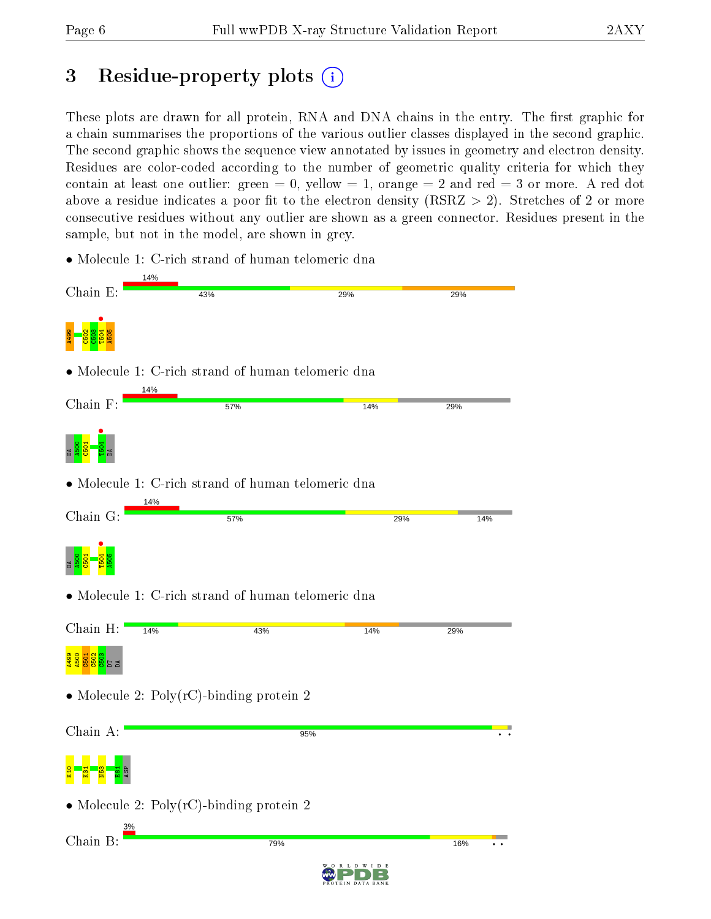## 3 Residue-property plots  $\binom{1}{1}$

These plots are drawn for all protein, RNA and DNA chains in the entry. The first graphic for a chain summarises the proportions of the various outlier classes displayed in the second graphic. The second graphic shows the sequence view annotated by issues in geometry and electron density. Residues are color-coded according to the number of geometric quality criteria for which they contain at least one outlier: green  $= 0$ , yellow  $= 1$ , orange  $= 2$  and red  $= 3$  or more. A red dot above a residue indicates a poor fit to the electron density (RSRZ  $> 2$ ). Stretches of 2 or more consecutive residues without any outlier are shown as a green connector. Residues present in the sample, but not in the model, are shown in grey.

• Molecule 1: C-rich strand of human telomeric dna

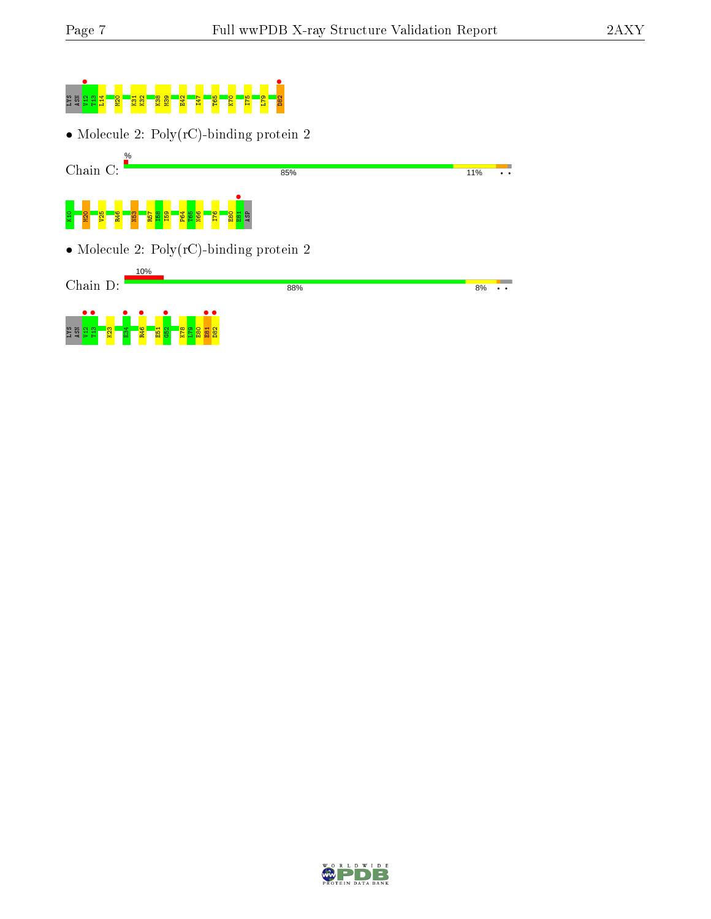# LYS ASN V12 • T13 L14 M20 K31 K32 K38 M39 E42 I47 T65 K70 I75 L79 D82 •

• Molecule 2: Poly(rC)-binding protein 2



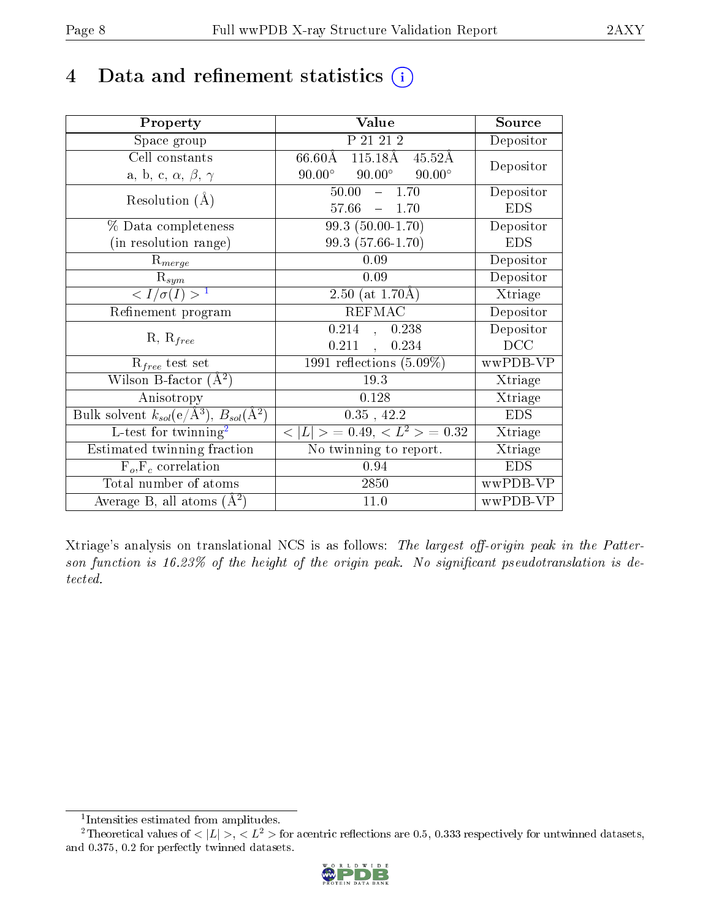## 4 Data and refinement statistics  $(i)$

| Property                                                                 | Value                                             | Source     |
|--------------------------------------------------------------------------|---------------------------------------------------|------------|
| Space group                                                              | P 21 21 2                                         | Depositor  |
| Cell constants                                                           | 115.18Å 45.52Å<br>$66.60\text{\AA}$               | Depositor  |
| a, b, c, $\alpha$ , $\beta$ , $\gamma$                                   | $90.00^\circ$<br>$90.00^\circ$<br>$90.00^{\circ}$ |            |
| Resolution $(A)$                                                         | $50.00^{-7}$<br>$-1.70$                           | Depositor  |
|                                                                          | 57.66<br>$-1.70$                                  | <b>EDS</b> |
| $\%$ Data completeness                                                   | $99.3(50.00-1.70)$                                | Depositor  |
| (in resolution range)                                                    | 99.3 (57.66-1.70)                                 | <b>EDS</b> |
| $R_{merge}$                                                              | 0.09                                              | Depositor  |
| $\mathrm{R}_{sym}$                                                       | 0.09                                              | Depositor  |
| $\langle I/\sigma(I) \rangle^{-1}$                                       | 2.50 (at $1.70\text{\AA}$ )                       | Xtriage    |
| Refinement program                                                       | <b>REFMAC</b>                                     | Depositor  |
|                                                                          | 0.214<br>0.238<br>$\frac{1}{2}$                   | Depositor  |
| $R, R_{free}$                                                            | 0.211<br>0.234                                    | DCC        |
| $R_{free}$ test set                                                      | 1991 reflections $(5.09\%)$                       | wwPDB-VP   |
| Wilson B-factor $(A^2)$                                                  | 19.3                                              | Xtriage    |
| Anisotropy                                                               | 0.128                                             | Xtriage    |
| Bulk solvent $k_{sol}(\mathrm{e}/\mathrm{A}^3),$ $B_{sol}(\mathrm{A}^2)$ | $0.35$ , 42.2                                     | <b>EDS</b> |
| L-test for twinning <sup>2</sup>                                         | $< L >$ = 0.49, $< L^2 >$ = 0.32                  | Xtriage    |
| Estimated twinning fraction                                              | $\overline{\text{No}}$ twinning to report.        | Xtriage    |
| $F_o, F_c$ correlation                                                   | 0.94                                              | <b>EDS</b> |
| Total number of atoms                                                    | 2850                                              | wwPDB-VP   |
| Average B, all atoms $(A^2)$                                             | 11.0                                              | wwPDB-VP   |

Xtriage's analysis on translational NCS is as follows: The largest off-origin peak in the Patterson function is  $16.23\%$  of the height of the origin peak. No significant pseudotranslation is detected.

<sup>&</sup>lt;sup>2</sup>Theoretical values of  $\langle |L| \rangle$ ,  $\langle L^2 \rangle$  for acentric reflections are 0.5, 0.333 respectively for untwinned datasets, and 0.375, 0.2 for perfectly twinned datasets.



<span id="page-7-1"></span><span id="page-7-0"></span><sup>1</sup> Intensities estimated from amplitudes.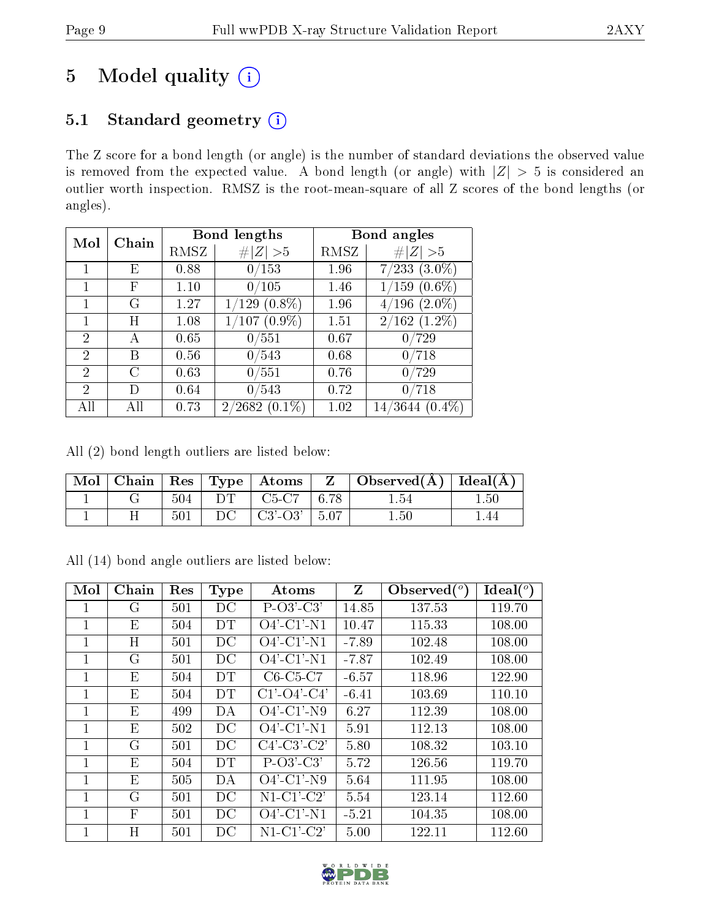## 5 Model quality  $(i)$

## 5.1 Standard geometry (i)

The Z score for a bond length (or angle) is the number of standard deviations the observed value is removed from the expected value. A bond length (or angle) with  $|Z| > 5$  is considered an outlier worth inspection. RMSZ is the root-mean-square of all Z scores of the bond lengths (or angles).

| Mol                         | Chain |      | <b>Bond lengths</b>           | Bond angles |                                   |  |
|-----------------------------|-------|------|-------------------------------|-------------|-----------------------------------|--|
|                             |       | RMSZ | # $ Z  > 5$                   | RMSZ        | Z   > 5                           |  |
|                             | E     | 0.88 | 0/153                         | 1.96        | $(3.0\%)$<br>7/233                |  |
|                             | F     | 1.10 | 0/105                         | 1.46        | $(0.6\%)$<br>1/159                |  |
|                             | ( ÷   | 1.27 | $(0.8\%)$<br>$^{\prime}129$   | 1.96        | $(2.0\%)$<br>$^{\prime}196$<br>47 |  |
|                             | Η     | 1.08 | $(0.9\%)$<br>$^{\prime}107$ . | 1.51        | $2/162$ $(1.2\%)$                 |  |
| $\overline{2}$              | А     | 0.65 | 0/551                         | 0.67        | $^{\prime}729$<br>0               |  |
| 2                           | B     | 0.56 | 0/543                         | 0.68        | $^{\prime}718$<br>0               |  |
| $\mathcal{D}_{\mathcal{L}}$ | C     | 0.63 | 0/551                         | 0.76        | 0/729                             |  |
| 2                           | I)    | 0.64 | 0/543                         | 0.72        | $^{\prime}718$<br>0               |  |
| All                         | Аll   | 0.73 | $(0.1\%)$<br>2/2682           | 1.02        | 3644<br>$(0.4\%)$<br>14/          |  |

All (2) bond length outliers are listed below:

|  |     |     | $\parallel$ Mol $\parallel$ Chain $\parallel$ Res $\parallel$ Type $\parallel$ Atoms $\parallel$ | $\mathbf{Z}$ | $\vert$ Observed( $\AA$ ) $\vert$ Ideal( $\AA$ ) $\vert$ |          |
|--|-----|-----|--------------------------------------------------------------------------------------------------|--------------|----------------------------------------------------------|----------|
|  | 504 | DT. | $C5-C7$   6.78                                                                                   |              | l .54                                                    | $1.50\,$ |
|  | 501 | DC  | $\pm$ C3'-O3' $\pm$ 5.07 $\pm$                                                                   |              | 1.50                                                     | L 44     |

All (14) bond angle outliers are listed below:

| Mol          | Chain        | Res | <b>Type</b> | Atoms                    | $Z_{\rm}$ | Observed $(°)$ | $Ideal(^o)$ |
|--------------|--------------|-----|-------------|--------------------------|-----------|----------------|-------------|
| 1            | G            | 501 | DC          | $P-O3'-C3'$              | 14.85     | 137.53         | 119.70      |
| 1            | E            | 504 | DT          | $O4'$ -C1'-N1            | 10.47     | 115.33         | 108.00      |
| 1            | Η            | 501 | DC          | $O4'$ -C1'-N1            | $-7.89$   | 102.48         | 108.00      |
| 1            | G            | 501 | DС          | $O4'$ -C1'-N1            | $-7.87$   | 102.49         | 108.00      |
| 1            | Ε            | 504 | DT          | $C6-C5-C7$               | $-6.57$   | 118.96         | 122.90      |
| 1            | E            | 504 | <b>DT</b>   | $C1' - O4' - C4'$        | $-6.41$   | 103.69         | 110.10      |
| 1            | E            | 499 | DA          | $O4'$ -C1'-N9            | 6.27      | 112.39         | 108.00      |
| 1            | E            | 502 | DC          | $O4'$ -C1'-N1            | 5.91      | 112.13         | 108.00      |
| 1            | G            | 501 | DC          | $C4'-C3'-C2'$            | 5.80      | 108.32         | 103.10      |
| $\mathbf{1}$ | E            | 504 | <b>DT</b>   | $P-O3'-C3'$              | 5.72      | 126.56         | 119.70      |
| 1            | E            | 505 | DA          | $O4'$ -C1'-N9            | 5.64      | 111.95         | 108.00      |
| $\mathbf{1}$ | G            | 501 | DC          | $N1-C1-C2'$              | 5.54      | 123.14         | 112.60      |
| 1            | $\mathbf{F}$ | 501 | DC          | $\overline{O}4'$ -C1'-N1 | $-5.21$   | 104.35         | 108.00      |
| $\mathbf{1}$ | Η            | 501 | DC          | $N1-C1-C2'$              | 5.00      | 122.11         | 112.60      |

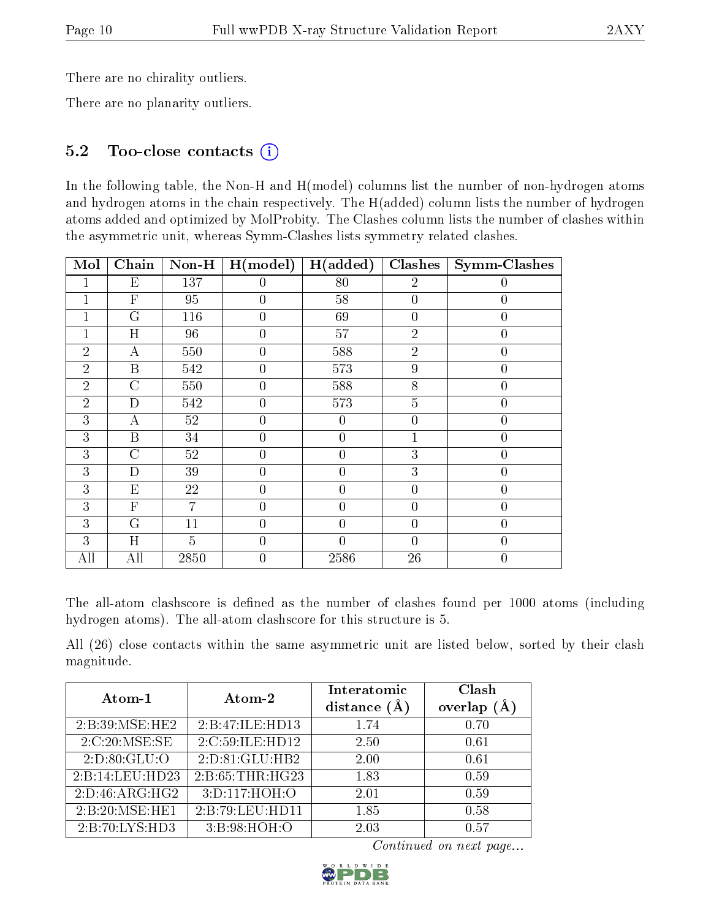There are no chirality outliers.

There are no planarity outliers.

### 5.2 Too-close contacts (i)

In the following table, the Non-H and H(model) columns list the number of non-hydrogen atoms and hydrogen atoms in the chain respectively. The H(added) column lists the number of hydrogen atoms added and optimized by MolProbity. The Clashes column lists the number of clashes within the asymmetric unit, whereas Symm-Clashes lists symmetry related clashes.

| Mol            | Chain                     | Non-H          | H (model)        | H(added)       | Clashes        | <b>Symm-Clashes</b> |
|----------------|---------------------------|----------------|------------------|----------------|----------------|---------------------|
| 1              | $\boldsymbol{\mathrm{E}}$ | 137            | 0                | 80             | $\overline{2}$ | $\left( \right)$    |
| 1              | $\overline{\mathrm{F}}$   | 95             | $\overline{0}$   | $58\,$         | $\overline{0}$ | $\theta$            |
| 1              | $G\$                      | 116            | $\overline{0}$   | 69             | $\overline{0}$ | $\left( \right)$    |
| 1              | $H_{\rm}$                 | 96             | $\overline{0}$   | $57\,$         | $\overline{2}$ | $\theta$            |
| $\overline{2}$ | А                         | 550            | $\overline{0}$   | 588            | $\overline{2}$ | $\theta$            |
| $\overline{2}$ | $\mathbf{B}$              | $542\,$        | $\boldsymbol{0}$ | 573            | 9              | $\overline{0}$      |
| $\overline{2}$ | C                         | 550            | $\boldsymbol{0}$ | 588            | 8              | $\overline{0}$      |
| $\overline{2}$ | D                         | 542            | $\boldsymbol{0}$ | 573            | $\overline{5}$ | $\overline{0}$      |
| 3              | А                         | $52\,$         | $\overline{0}$   | 0              | $\overline{0}$ | $\theta$            |
| 3              | $\mathbf{B}$              | 34             | $\overline{0}$   | $\overline{0}$ | $\mathbf{1}$   | $\theta$            |
| 3              | $\overline{C}$            | 52             | $\overline{0}$   | $\theta$       | 3              | 0                   |
| 3              | D                         | 39             | $\overline{0}$   | $\overline{0}$ | 3              | 0                   |
| 3              | E                         | 22             | $\overline{0}$   | $\overline{0}$ | $\overline{0}$ | $\theta$            |
| 3              | $\overline{F}$            | $\overline{7}$ | $\overline{0}$   | $\overline{0}$ | $\overline{0}$ | $\overline{0}$      |
| 3              | G                         | 11             | $\overline{0}$   | $\theta$       | $\overline{0}$ | $\theta$            |
| 3              | H                         | $\overline{5}$ | $\overline{0}$   | 0              | $\overline{0}$ | $\Omega$            |
| All            | All                       | 2850           | $\overline{0}$   | 2586           | 26             | $\theta$            |

The all-atom clashscore is defined as the number of clashes found per 1000 atoms (including hydrogen atoms). The all-atom clashscore for this structure is 5.

All (26) close contacts within the same asymmetric unit are listed below, sorted by their clash magnitude.

| Atom-1          | Atom-2           | Interatomic      | Clash         |
|-----------------|------------------|------------------|---------------|
|                 |                  | distance $(\AA)$ | overlap $(A)$ |
| 2:B:39:MSE:HE2  | 2:B:47:ILE:HD13  | 1.74             | 0.70          |
| 2:C:20:MSE:SE   | 2:C:59:ILE:HD12  | 2.50             | 0.61          |
| 2: D:80: GLU:O  | 2:D:81:GLU:HB2   | 2.00             | 0.61          |
| 2:B:14:LEU:HD23 | 2: B:65:THR:HG23 | 1.83             | 0.59          |
| 2:D:46:ARG:HG2  | 3:D:117:HOH:O    | 2.01             | 0.59          |
| 2:B:20:MSE:HE1  | 2:B:79:LEU:HD11  | 1.85             | 0.58          |
| 2:B:70:LYS:HD3  | 3:B:98:HOH:O     | 2.03             | 0.57          |

Continued on next page...

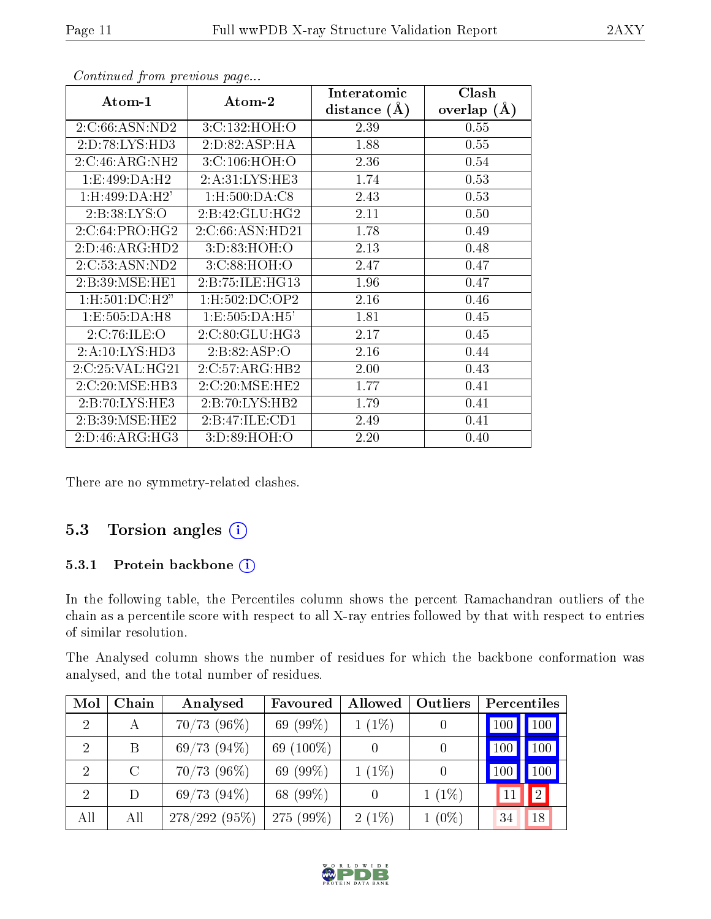|                             |                     | Interatomic      | Clash           |
|-----------------------------|---------------------|------------------|-----------------|
| Atom-1                      | Atom-2              | distance $(\AA)$ | overlap $(\AA)$ |
| 2:C:66:ASN:ND2              | 3:C:132:HOH:O       | 2.39             | 0.55            |
| 2:D:78:LYS:HD3              | 2:D:82:ASP:HA       | 1.88             | 0.55            |
| 2:C:46:ARG:NH2              | 3:C:106:HOH:O       | 2.36             | 0.54            |
| 1:E:499:DA:H2               | 2:A:31:LYS:HE3      | 1.74             | 0.53            |
| 1:H:499:DA:H2'              | 1:H:500:DA:CS       | 2.43             | 0.53            |
| 2: B:38: LYS:O              | 2:B:42:GLU:HG2      | 2.11             | 0.50            |
| 2:C:64:PRO:HG2              | 2:C:66:ASN:HD21     | 1.78             | 0.49            |
| $2:D:46:ARG:H\overline{D2}$ | 3:D:83:HOH:O        | 2.13             | 0.48            |
| 2:C:53:ASN:ND2              | 3:C:88:HOH:O        | 2.47             | 0.47            |
| 2: B:39: MSE: HE1           | 2: B: 75: ILE: HG13 | 1.96             | 0.47            |
| 1:H:501:DC:H2"              | 1:H:502:DC:OP2      | 2.16             | 0.46            |
| 1: E: 505: DA: H8           | 1: E: 505: DA: H5'  | 1.81             | 0.45            |
| 2:C:76:ILE:O                | 2:C:80:GLU:HG3      | 2.17             | 0.45            |
| 2:A:10:LYS:HD3              | 2:B:82:ASP:O        | 2.16             | 0.44            |
| 2:C:25:VAL:HG21             | 2:C:57:ARG:HB2      | 2.00             | 0.43            |
| 2:C:20:MSE:HB3              | 2:C:20:MSE:HE2      | 1.77             | 0.41            |
| 2:B:70:LYS:HE3              | 2:B:70:LYS:HB2      | 1.79             | 0.41            |
| 2: B:39: MSE: HE2           | 2:B:47:ILE:CD1      | 2.49             | 0.41            |
| 2:D:46:ARG:HG3              | 3:D:89:HOH:O        | 2.20             | 0.40            |

Continued from previous page...

There are no symmetry-related clashes.

#### 5.3 Torsion angles (i)

#### 5.3.1 Protein backbone (i)

In the following table, the Percentiles column shows the percent Ramachandran outliers of the chain as a percentile score with respect to all X-ray entries followed by that with respect to entries of similar resolution.

The Analysed column shows the number of residues for which the backbone conformation was analysed, and the total number of residues.

| Mol            | Chain         | Analysed         | Favoured    | Allowed  | <b>Outliers</b> | Percentiles |                  |
|----------------|---------------|------------------|-------------|----------|-----------------|-------------|------------------|
| 2              | А             | $70/73$ (96%)    | 69 $(99\%)$ | $1(1\%)$ |                 | $100\,$     | 100              |
| $\overline{2}$ | B             | $69/73$ $(94\%)$ | 69 (100\%)  |          |                 | 100         | 100              |
| 2              | $\mathcal{C}$ | $70/73$ (96%)    | 69 (99%)    | $1(1\%)$ |                 |             | 100 <sub>1</sub> |
| $\mathcal{P}$  | D             | 69/73(94%)       | 68 (99%)    | $\theta$ | $1(1\%)$        |             | $ 2\rangle$      |
| All            | All           | $278/292(95\%)$  | 275 (99%)   | $2(1\%)$ | $1(0\%)$        | 34          | 18               |

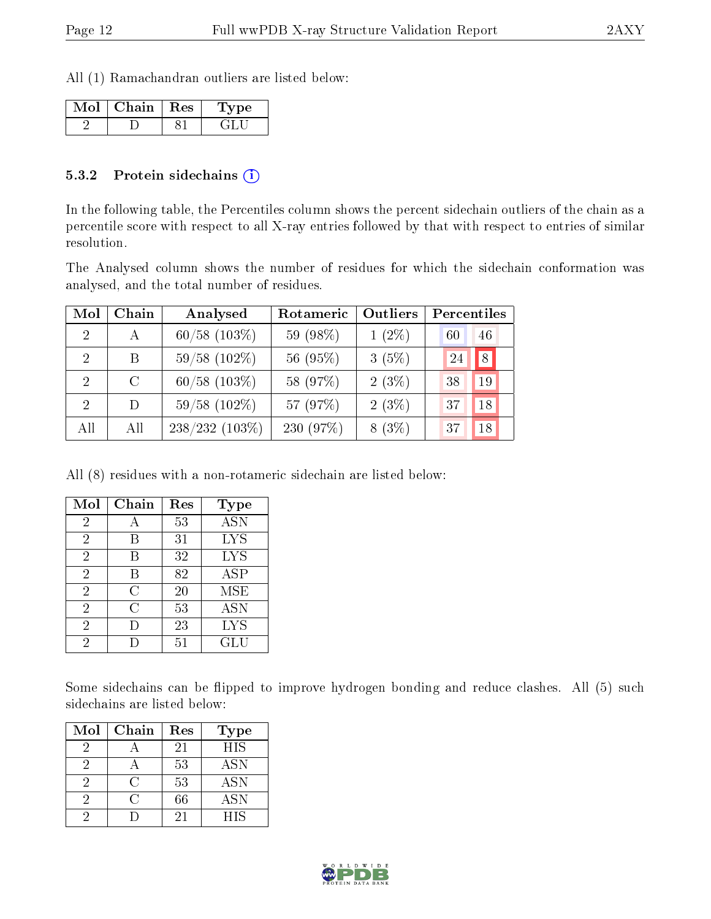All (1) Ramachandran outliers are listed below:

| Chain   Res | $^{\prime}$ pe |
|-------------|----------------|
|             |                |

#### 5.3.2 Protein sidechains  $(i)$

In the following table, the Percentiles column shows the percent sidechain outliers of the chain as a percentile score with respect to all X-ray entries followed by that with respect to entries of similar resolution.

The Analysed column shows the number of residues for which the sidechain conformation was analysed, and the total number of residues.

| Mol            | Chain         | Analysed          | Rotameric | Outliers | Percentiles |  |
|----------------|---------------|-------------------|-----------|----------|-------------|--|
| $\overline{2}$ | A             | $60/58$ $(103\%)$ | 59 (98%)  | $1(2\%)$ | 46<br>60    |  |
| 2              | B.            | $59/58$ (102\%)   | 56 (95%)  | 3(5%)    | 8<br>24     |  |
| $\mathcal{D}$  | $\mathcal{C}$ | $60/58$ $(103\%)$ | 58 (97%)  | 2(3%)    | 19<br>38    |  |
| 2              | D             | $59/58$ (102\%)   | 57 (97%)  | 2(3%)    | 18<br>37    |  |
| All            | All           | $238/232(103\%)$  | 230 (97%) | $8(3\%)$ | 18<br>37    |  |

All (8) residues with a non-rotameric sidechain are listed below:

| Mol            | Chain | Res | Type             |
|----------------|-------|-----|------------------|
| 2              |       | 53  | $\overline{ASN}$ |
| 2              | В     | 31  | <b>LYS</b>       |
| $\overline{2}$ | В     | 32  | <b>LYS</b>       |
| $\overline{2}$ | В     | 82  | <b>ASP</b>       |
| $\overline{2}$ | С     | 20  | MSE              |
| $\overline{2}$ | С     | 53  | <b>ASN</b>       |
| $\overline{2}$ |       | 23  | <b>LYS</b>       |
| 2              |       | 51  | GLU              |

Some sidechains can be flipped to improve hydrogen bonding and reduce clashes. All (5) such sidechains are listed below:

| Mol | Chain | Res | <b>Type</b> |
|-----|-------|-----|-------------|
| 2   |       | 21  | <b>HIS</b>  |
|     |       | 53  | <b>ASN</b>  |
|     | ( :   | 53  | <b>ASN</b>  |
| 2   |       | 66  | ASN         |
|     |       | 21  | HIS         |

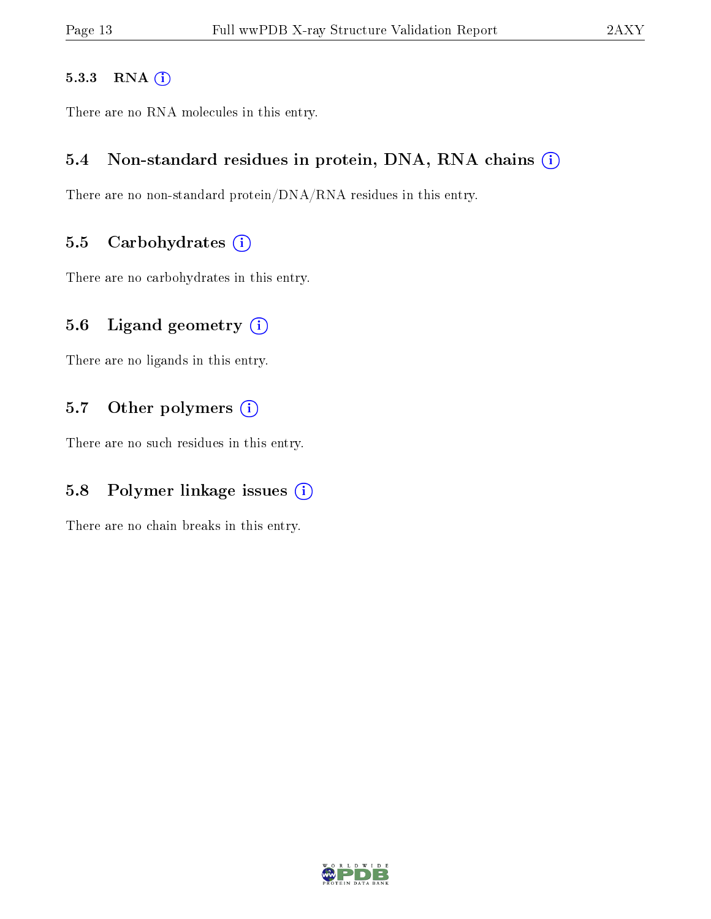#### 5.3.3 RNA [O](https://www.wwpdb.org/validation/2017/XrayValidationReportHelp#rna)i

There are no RNA molecules in this entry.

#### 5.4 Non-standard residues in protein, DNA, RNA chains (i)

There are no non-standard protein/DNA/RNA residues in this entry.

#### 5.5 Carbohydrates  $(i)$

There are no carbohydrates in this entry.

#### 5.6 Ligand geometry  $(i)$

There are no ligands in this entry.

#### 5.7 [O](https://www.wwpdb.org/validation/2017/XrayValidationReportHelp#nonstandard_residues_and_ligands)ther polymers (i)

There are no such residues in this entry.

#### 5.8 Polymer linkage issues  $(i)$

There are no chain breaks in this entry.

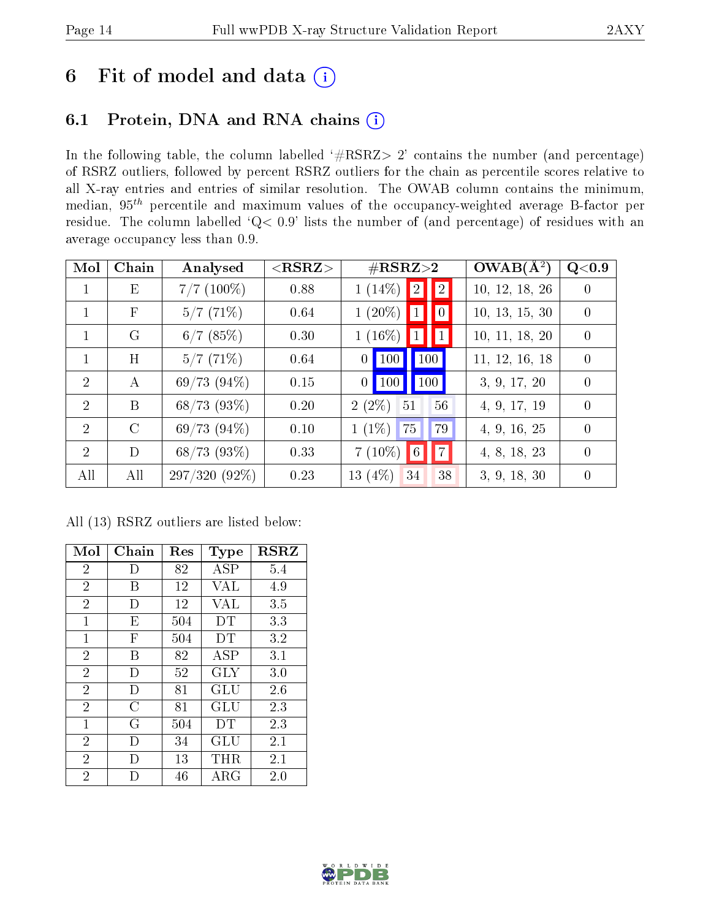## 6 Fit of model and data  $(i)$

## 6.1 Protein, DNA and RNA chains  $(i)$

In the following table, the column labelled  $#RSRZ> 2'$  contains the number (and percentage) of RSRZ outliers, followed by percent RSRZ outliers for the chain as percentile scores relative to all X-ray entries and entries of similar resolution. The OWAB column contains the minimum, median,  $95<sup>th</sup>$  percentile and maximum values of the occupancy-weighted average B-factor per residue. The column labelled ' $Q< 0.9$ ' lists the number of (and percentage) of residues with an average occupancy less than 0.9.

| Mol            | Chain      | Analysed         | $<$ RSRZ $>$ | $\#\text{RSRZ}{>}2$                             | $OWAB(A^2)$    | $\rm Q\textcolor{black}{<}0.9$ |
|----------------|------------|------------------|--------------|-------------------------------------------------|----------------|--------------------------------|
|                | Ε          | $7/7$ (100%)     | 0.88         | 2 <br>$1(14\%)$   2                             | 10, 12, 18, 26 | $\theta$                       |
|                | $_{\rm F}$ | 5/7(71%)         | 0.64         | $1(20\%)$<br>$\vert 1 \vert$<br>$\vert 0 \vert$ | 10, 13, 15, 30 | $\theta$                       |
|                | G          | $6/7$ (85%)      | 0.30         | $1(16\%)$ 1   1                                 | 10, 11, 18, 20 | $\theta$                       |
|                | H          | 5/7(71%)         | 0.64         | 100<br>$\vert$ 100 $\vert$<br>0 <sup>1</sup>    | 11, 12, 16, 18 | $\overline{0}$                 |
| $\mathcal{D}$  | А          | 69/73(94%)       | 0.15         | 100<br>$\vert$ 100 $\vert$<br>0 <sup>1</sup>    | 3, 9, 17, 20   | $\theta$                       |
| $\mathcal{D}$  | B          | $68/73$ (93\%)   | 0.20         | $2(2\%)$<br>51<br>56                            | 4, 9, 17, 19   | $\left($                       |
| 2              | $\rm C$    | 69/73(94%)       | 0.10         | $1(1\%)$<br>75<br>79                            | 4, 9, 16, 25   | $\left($                       |
| $\overline{2}$ | D          | $68/73$ $(93\%)$ | 0.33         | 7 <br>$7(10\%)$<br>$\blacksquare$               | 4, 8, 18, 23   | $\left($                       |
| All            | All        | $297/320(92\%)$  | 0.23         | 13 $(4%)$<br>38<br>34                           | 3, 9, 18, 30   | $\theta$                       |

All (13) RSRZ outliers are listed below:

| Mol            | Chain  | $\operatorname{Res}% \left( \mathcal{N}\right) \equiv\operatorname{Res}(\mathcal{N}_{0})\cap\mathcal{N}_{1}$ | <b>Type</b>          | <b>RSRZ</b> |
|----------------|--------|--------------------------------------------------------------------------------------------------------------|----------------------|-------------|
| $\overline{2}$ | $\Box$ | 82                                                                                                           | ASP                  | 5.4         |
| $\overline{2}$ | В      | 12                                                                                                           | VAL                  | 4.9         |
| $\overline{2}$ | I)     | 12                                                                                                           | VAL                  | 3.5         |
| $\mathbf{1}$   | E      | 504                                                                                                          | DT                   | 3.3         |
| 1              | F      | 504                                                                                                          | DΤ                   | 3.2         |
| $\overline{2}$ | В      | 82                                                                                                           | ASP                  | 3.1         |
| $\overline{2}$ | Ð      | 52                                                                                                           | <b>GLY</b>           | 3.0         |
| $\overline{2}$ | Ð      | 81                                                                                                           | $\operatorname{GLU}$ | 2.6         |
| $\overline{2}$ | C      | 81                                                                                                           | $\operatorname{GLU}$ | 2.3         |
| $\mathbf{1}$   | G      | 504                                                                                                          | DΤ                   | 2.3         |
| $\overline{2}$ | Ð      | 34                                                                                                           | GLU                  | 2.1         |
| $\overline{2}$ | Ð      | 13                                                                                                           | THR                  | 2.1         |
| $\overline{2}$ |        | 46                                                                                                           | ${\rm ARG}$          | 2.0         |